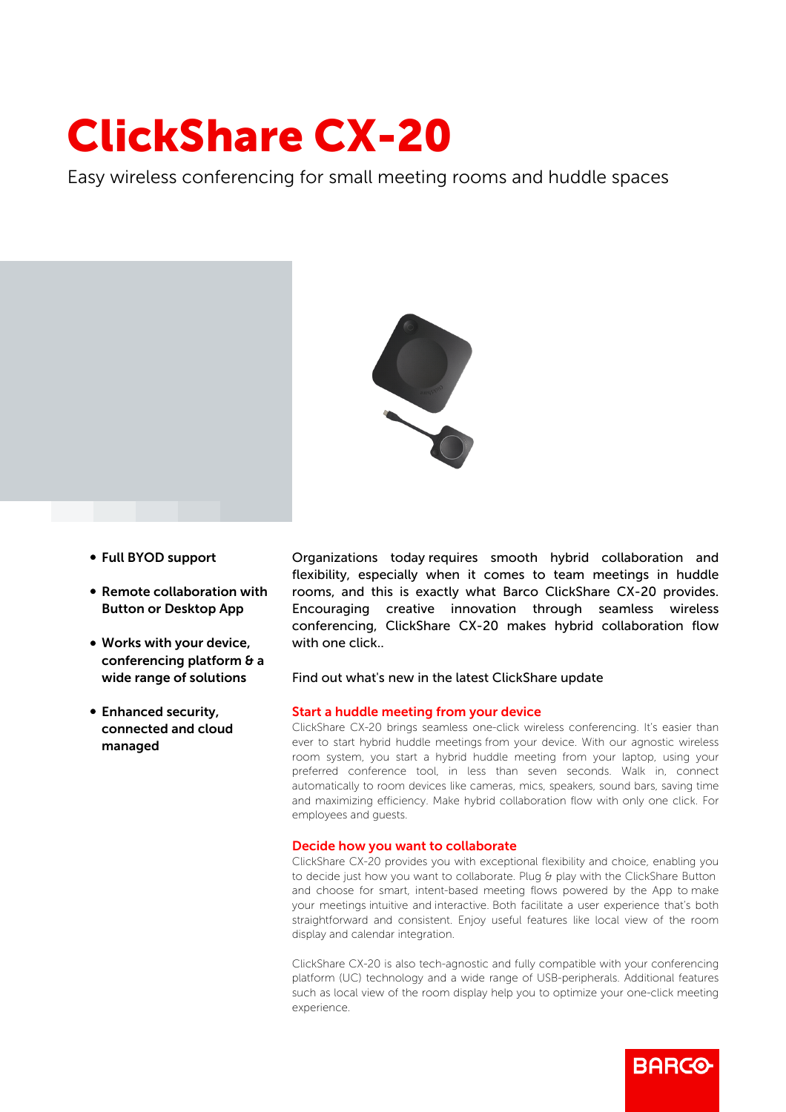# ClickShare CX-20

Easy wireless conferencing for small meeting rooms and huddle spaces



- b Full BYOD support
- Remote collaboration with Button or Desktop App
- Works with your device, conferencing platform & a wide range of solutions
- Enhanced security, connected and cloud managed

Organizations today requires smooth hybrid collaboration and flexibility, especially when it comes to team meetings in huddle rooms, and this is exactly what Barco ClickShare CX-20 provides. Encouraging creative innovation through seamless wireless conferencing, ClickShare CX-20 makes hybrid collaboration flow with one click

#### Find out what's new in the latest ClickShare update

#### Start a huddle meeting from your device

ClickShare CX-20 brings seamless one-click wireless conferencing. It's easier than ever to start hybrid huddle meetings from your device. With our agnostic wireless room system, you start a hybrid huddle meeting from your laptop, using your preferred conference tool, in less than seven seconds. Walk in, connect automatically to room devices like cameras, mics, speakers, sound bars, saving time and maximizing efficiency. Make hybrid collaboration flow with only one click. For employees and guests.

#### Decide how you want to collaborate

ClickShare CX-20 provides you with exceptional flexibility and choice, enabling you to decide just how you want to collaborate. Plug & play with the ClickShare Button and choose for smart, intent-based meeting flows powered by the App to make your meetings intuitive and interactive. Both facilitate a user experience that's both straightforward and consistent. Enjoy useful features like local view of the room display and calendar integration.

ClickShare CX-20 is also tech-agnostic and fully compatible with your conferencing platform (UC) technology and a wide range of USB-peripherals. Additional features such as local view of the room display help you to optimize your one-click meeting experience.

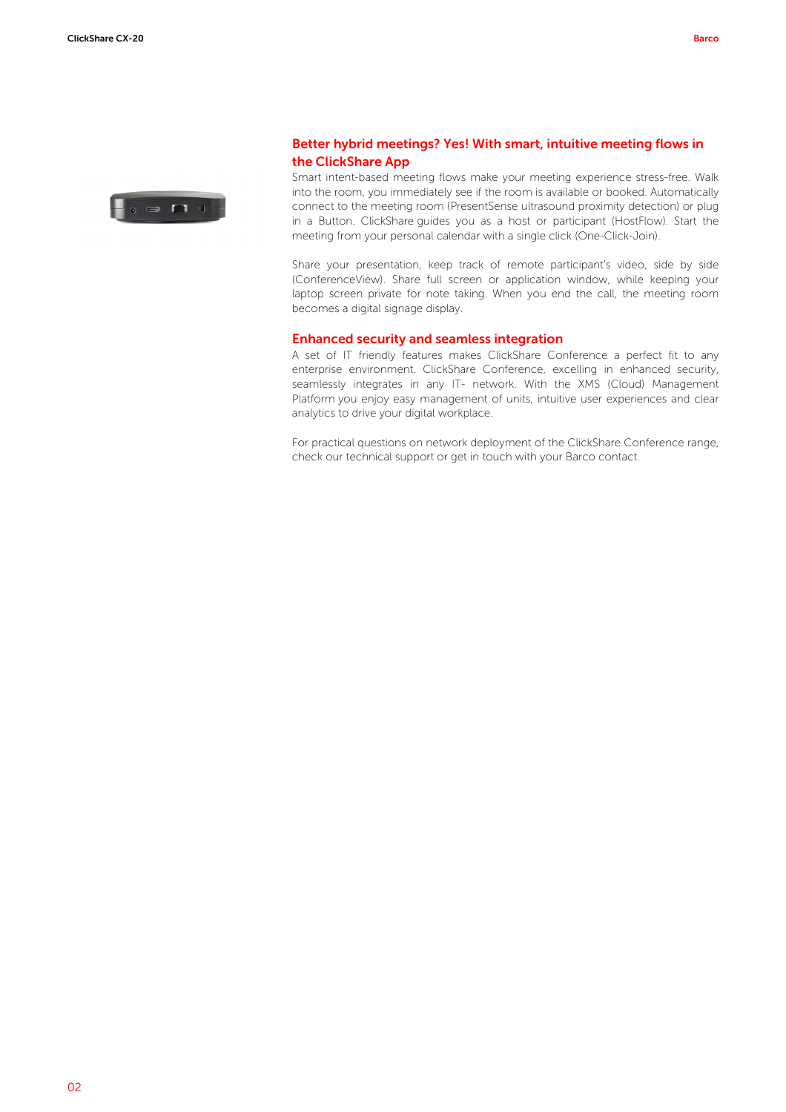

## Better hybrid meetings? Yes! With smart, intuitive meeting flows in the ClickShare App

Smart intent-based meeting flows make your meeting experience stress-free. Walk into the room, you immediately see if the room is available or booked. Automatically connect to the meeting room (PresentSense ultrasound proximity detection) or plug in a Button. ClickShare guides you as a host or participant (HostFlow). Start the meeting from your personal calendar with a single click (One-Click-Join).

Share your presentation, keep track of remote participant's video, side by side (ConferenceView). Share full screen or application window, while keeping your laptop screen private for note taking. When you end the call, the meeting room becomes a digital signage display.

#### Enhanced security and seamless integration

A set of IT friendly features makes ClickShare Conference a perfect fit to any enterprise environment. ClickShare Conference, excelling in enhanced security, seamlessly integrates in any IT- network. With the XMS (Cloud) Management Platform you enjoy easy management of units, intuitive user experiences and clear analytics to drive your digital workplace.

For practical questions on network deployment of the ClickShare Conference range, check our technical support or get in touch with your Barco contact.